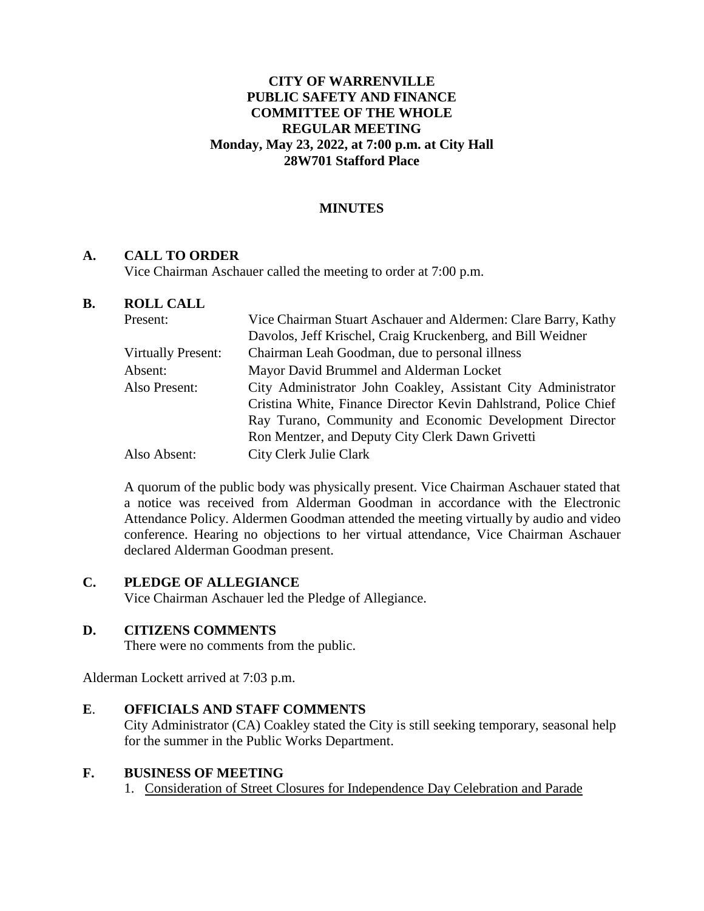### **CITY OF WARRENVILLE PUBLIC SAFETY AND FINANCE COMMITTEE OF THE WHOLE REGULAR MEETING Monday, May 23, 2022, at 7:00 p.m. at City Hall 28W701 Stafford Place**

## **MINUTES**

#### **A. CALL TO ORDER**

Vice Chairman Aschauer called the meeting to order at 7:00 p.m.

#### **B. ROLL CALL**

| Present:                  | Vice Chairman Stuart Aschauer and Aldermen: Clare Barry, Kathy  |
|---------------------------|-----------------------------------------------------------------|
|                           | Davolos, Jeff Krischel, Craig Kruckenberg, and Bill Weidner     |
| <b>Virtually Present:</b> | Chairman Leah Goodman, due to personal illness                  |
| Absent:                   | Mayor David Brummel and Alderman Locket                         |
| Also Present:             | City Administrator John Coakley, Assistant City Administrator   |
|                           | Cristina White, Finance Director Kevin Dahlstrand, Police Chief |
|                           | Ray Turano, Community and Economic Development Director         |
|                           | Ron Mentzer, and Deputy City Clerk Dawn Grivetti                |
| Also Absent:              | City Clerk Julie Clark                                          |

A quorum of the public body was physically present. Vice Chairman Aschauer stated that a notice was received from Alderman Goodman in accordance with the Electronic Attendance Policy. Aldermen Goodman attended the meeting virtually by audio and video conference. Hearing no objections to her virtual attendance, Vice Chairman Aschauer declared Alderman Goodman present.

## **C. PLEDGE OF ALLEGIANCE**

Vice Chairman Aschauer led the Pledge of Allegiance.

#### **D. CITIZENS COMMENTS**

There were no comments from the public.

Alderman Lockett arrived at 7:03 p.m.

#### **E**. **OFFICIALS AND STAFF COMMENTS**

City Administrator (CA) Coakley stated the City is still seeking temporary, seasonal help for the summer in the Public Works Department.

#### **F. BUSINESS OF MEETING**

1. Consideration of Street Closures for Independence Day Celebration and Parade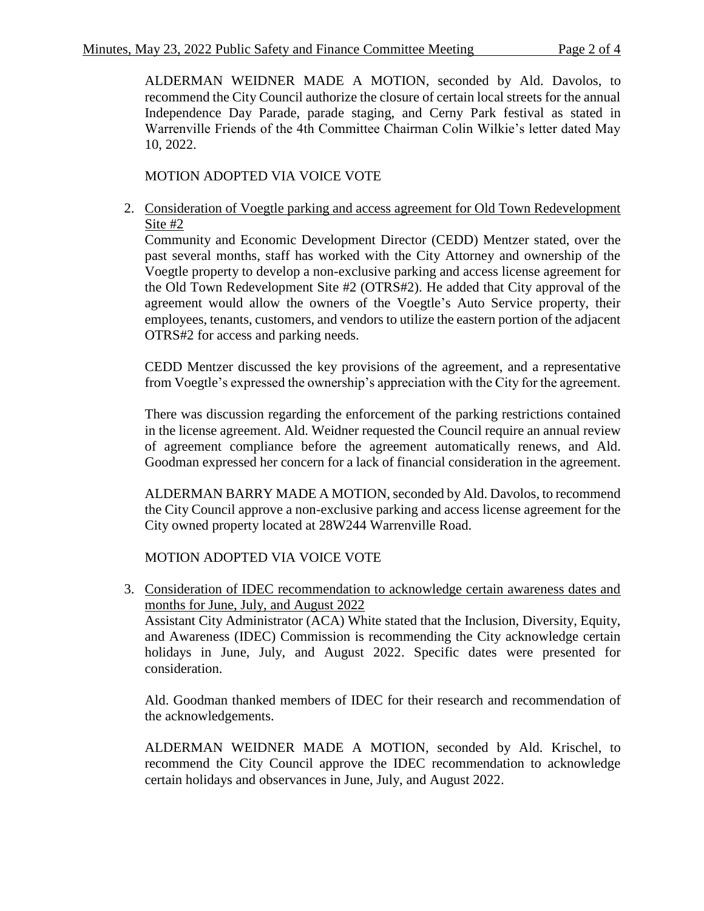ALDERMAN WEIDNER MADE A MOTION, seconded by Ald. Davolos, to recommend the City Council authorize the closure of certain local streets for the annual Independence Day Parade, parade staging, and Cerny Park festival as stated in Warrenville Friends of the 4th Committee Chairman Colin Wilkie's letter dated May 10, 2022.

MOTION ADOPTED VIA VOICE VOTE

2. Consideration of Voegtle parking and access agreement for Old Town Redevelopment Site #2

Community and Economic Development Director (CEDD) Mentzer stated, over the past several months, staff has worked with the City Attorney and ownership of the Voegtle property to develop a non-exclusive parking and access license agreement for the Old Town Redevelopment Site #2 (OTRS#2). He added that City approval of the agreement would allow the owners of the Voegtle's Auto Service property, their employees, tenants, customers, and vendors to utilize the eastern portion of the adjacent OTRS#2 for access and parking needs.

CEDD Mentzer discussed the key provisions of the agreement, and a representative from Voegtle's expressed the ownership's appreciation with the City for the agreement.

There was discussion regarding the enforcement of the parking restrictions contained in the license agreement. Ald. Weidner requested the Council require an annual review of agreement compliance before the agreement automatically renews, and Ald. Goodman expressed her concern for a lack of financial consideration in the agreement.

ALDERMAN BARRY MADE A MOTION, seconded by Ald. Davolos, to recommend the City Council approve a non-exclusive parking and access license agreement for the City owned property located at 28W244 Warrenville Road.

MOTION ADOPTED VIA VOICE VOTE

3. Consideration of IDEC recommendation to acknowledge certain awareness dates and months for June, July, and August 2022

Assistant City Administrator (ACA) White stated that the Inclusion, Diversity, Equity, and Awareness (IDEC) Commission is recommending the City acknowledge certain holidays in June, July, and August 2022. Specific dates were presented for consideration.

Ald. Goodman thanked members of IDEC for their research and recommendation of the acknowledgements.

ALDERMAN WEIDNER MADE A MOTION, seconded by Ald. Krischel, to recommend the City Council approve the IDEC recommendation to acknowledge certain holidays and observances in June, July, and August 2022.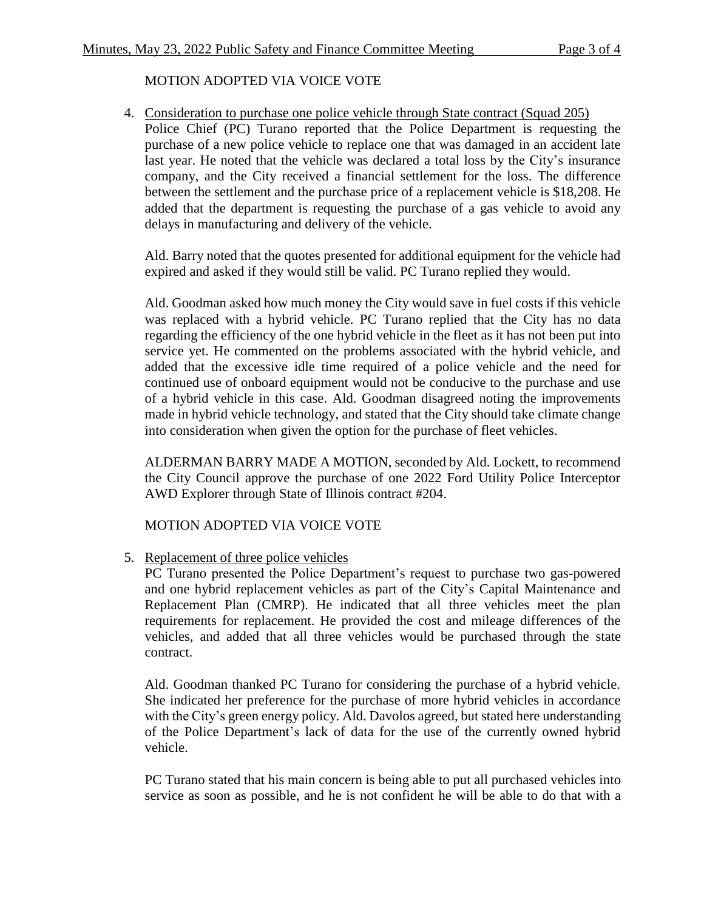# MOTION ADOPTED VIA VOICE VOTE

4. Consideration to purchase one police vehicle through State contract (Squad 205) Police Chief (PC) Turano reported that the Police Department is requesting the purchase of a new police vehicle to replace one that was damaged in an accident late last year. He noted that the vehicle was declared a total loss by the City's insurance company, and the City received a financial settlement for the loss. The difference between the settlement and the purchase price of a replacement vehicle is \$18,208. He added that the department is requesting the purchase of a gas vehicle to avoid any delays in manufacturing and delivery of the vehicle.

Ald. Barry noted that the quotes presented for additional equipment for the vehicle had expired and asked if they would still be valid. PC Turano replied they would.

Ald. Goodman asked how much money the City would save in fuel costs if this vehicle was replaced with a hybrid vehicle. PC Turano replied that the City has no data regarding the efficiency of the one hybrid vehicle in the fleet as it has not been put into service yet. He commented on the problems associated with the hybrid vehicle, and added that the excessive idle time required of a police vehicle and the need for continued use of onboard equipment would not be conducive to the purchase and use of a hybrid vehicle in this case. Ald. Goodman disagreed noting the improvements made in hybrid vehicle technology, and stated that the City should take climate change into consideration when given the option for the purchase of fleet vehicles.

ALDERMAN BARRY MADE A MOTION, seconded by Ald. Lockett, to recommend the City Council approve the purchase of one 2022 Ford Utility Police Interceptor AWD Explorer through State of Illinois contract #204.

MOTION ADOPTED VIA VOICE VOTE

5. Replacement of three police vehicles

PC Turano presented the Police Department's request to purchase two gas-powered and one hybrid replacement vehicles as part of the City's Capital Maintenance and Replacement Plan (CMRP). He indicated that all three vehicles meet the plan requirements for replacement. He provided the cost and mileage differences of the vehicles, and added that all three vehicles would be purchased through the state contract.

Ald. Goodman thanked PC Turano for considering the purchase of a hybrid vehicle. She indicated her preference for the purchase of more hybrid vehicles in accordance with the City's green energy policy. Ald. Davolos agreed, but stated here understanding of the Police Department's lack of data for the use of the currently owned hybrid vehicle.

PC Turano stated that his main concern is being able to put all purchased vehicles into service as soon as possible, and he is not confident he will be able to do that with a